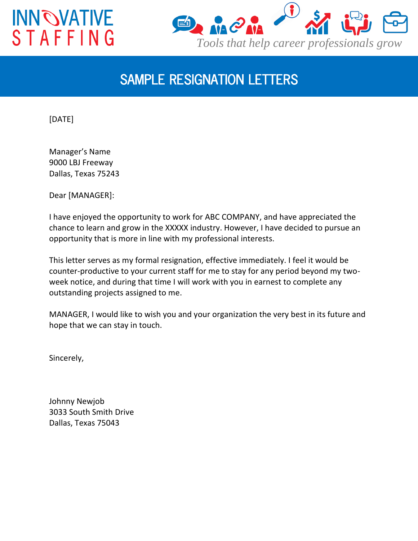## **INNOVATIVE STAFFING**



## *SAMPLE RESIGNATION LETTERS*

[DATE]

Manager's Name 9000 LBJ Freeway Dallas, Texas 75243

Dear [MANAGER]:

I have enjoyed the opportunity to work for ABC COMPANY, and have appreciated the chance to learn and grow in the XXXXX industry. However, I have decided to pursue an opportunity that is more in line with my professional interests.

This letter serves as my formal resignation, effective immediately. I feel it would be counter-productive to your current staff for me to stay for any period beyond my twoweek notice, and during that time I will work with you in earnest to complete any outstanding projects assigned to me.

MANAGER, I would like to wish you and your organization the very best in its future and hope that we can stay in touch.

Sincerely,

Johnny Newjob 3033 South Smith Drive Dallas, Texas 75043